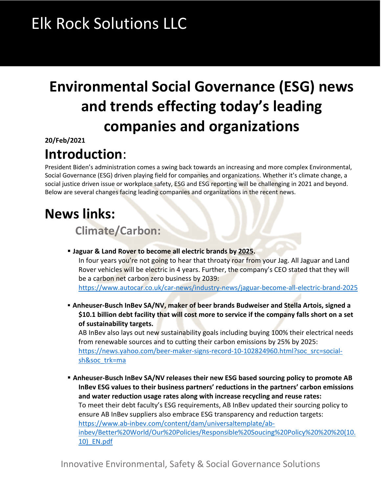# Elk Rock Solutions LLC

## **Environmental Social Governance (ESG) news and trends effecting today's leading companies and organizations**

**20/Feb/2021**

### **Introduction**:

President Biden's administration comes a swing back towards an increasing and more complex Environmental, Social Governance (ESG) driven playing field for companies and organizations. Whether it's climate change, a social justice driven issue or workplace safety, ESG and ESG reporting will be challenging in 2021 and beyond. Below are several changes facing leading companies and organizations in the recent news.

### **News links:**

 **Climate/Carbon:**

§ **Jaguar & Land Rover to become all electric brands by 2025.** In four years you're not going to hear that throaty roar from your Jag. All Jaguar and Land Rover vehicles will be electric in 4 years. Further, the company's CEO stated that they will be a carbon net carbon zero business by 2039:

https://www.autocar.co.uk/car-news/industry-news/jaguar-become-all-electric-brand-2025

§ **Anheuser-Busch InBev SA/NV, maker of beer brands Budweiser and Stella Artois, signed a \$10.1 billion debt facility that will cost more to service if the company falls short on a set of sustainability targets.**

AB InBev also lays out new sustainability goals including buying 100% their electrical needs from renewable sources and to cutting their carbon emissions by 25% by 2025: https://news.yahoo.com/beer-maker-signs-record-10-102824960.html?soc\_src=socialsh&soc\_trk=ma

§ **Anheuser-Busch InBev SA/NV releases their new ESG based sourcing policy to promote AB InBev ESG values to their business partners' reductions in the partners' carbon emissions and water reduction usage rates along with increase recycling and reuse rates:** To meet their debt faculty's ESG requirements, AB InBev updated their sourcing policy to ensure AB InBev suppliers also embrace ESG transparency and reduction targets: https://www.ab-inbev.com/content/dam/universaltemplate/abinbev/Better%20World/Our%20Policies/Responsible%20Soucing%20Policy%20%20%20(10. 10)\_EN.pdf

Innovative Environmental, Safety & Social Governance Solutions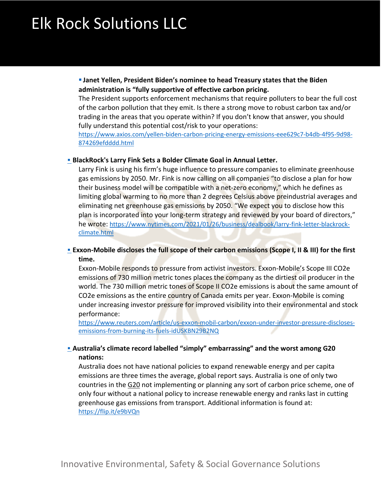# Elk Rock Solutions LLC

§ **Janet Yellen, President Biden's nominee to head Treasury states that the Biden administration is "fully supportive of effective carbon pricing.**

The President supports enforcement mechanisms that require polluters to bear the full cost of the carbon pollution that they emit. Is there a strong move to robust carbon tax and/or trading in the areas that you operate within? If you don't know that answer, you should fully understand this potential cost/risk to your operations:

https://www.axios.com/yellen-biden-carbon-pricing-energy-emissions-eee629c7-b4db-4f95-9d98- 874269efdddd.html

#### **E** BlackRock's Larry Fink Sets a Bolder Climate Goal in Annual Letter.

Larry Fink is using his firm's huge influence to pressure companies to eliminate greenhouse gas emissions by 2050. Mr. Fink is now calling on all companies "to disclose a plan for how their business model will be compatible with a net-zero economy," which he defines as limiting global warming to no more than 2 degrees Celsius above preindustrial averages and eliminating net greenhouse gas emissions by 2050. "We expect you to disclose how this plan is incorporated into your long-term strategy and reviewed by your board of directors," he wrote: https://www.nytimes.com/2021/01/26/business/dealbook/larry-fink-letter-blackrockclimate.html

#### § **Exxon-Mobile discloses the full scope of their carbon emissions (Scope I, II & III) for the first time.**

Exxon-Mobile responds to pressure from activist investors. Exxon-Mobile's Scope III CO2e emissions of 730 million metric tones places the company as the dirtiest oil producer in the world. The 730 million metric tones of Scope II CO2e emissions is about the same amount of CO2e emissions as the entire country of Canada emits per year. Exxon-Mobile is coming under increasing investor pressure for improved visibility into their environmental and stock performance:

https://www.reuters.com/article/us-exxon-mobil-carbon/exxon-under-investor-pressure-disclosesemissions-from-burning-its-fuels-idUSKBN29B2NQ

#### **Example 20 IM-** Australia's climate record labelled "simply" embarrassing" and the worst among G20 **nations:**

Australia does not have national policies to expand renewable energy and per capita emissions are three times the average, global report says. Australia is one of only two countries in the G20 not implementing or planning any sort of carbon price scheme, one of only four without a national policy to increase renewable energy and ranks last in cutting greenhouse gas emissions from transport. Additional information is found at: https://flip.it/e9bVQn